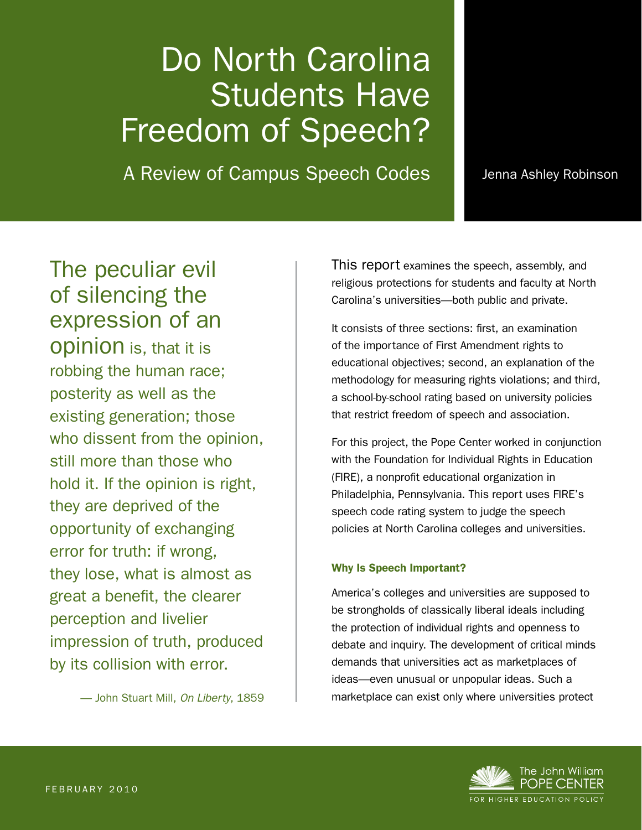# Do North Carolina Students Have Freedom of Speech?

A Review of Campus Speech Codes

Jenna Ashley Robinson

The peculiar evil of silencing the **contact of** expression of an  $\mathsf{opinion}\nolimits$  is, that it is robbing the human race;  $\vert$  $\frac{1}{100}$  posterity as well as the  $\frac{1}{2}$  who discent from the enjoine still more than those who hold it. If the opinion is right,  $\qquad$ they are deprived of the state of the state of the state of the state of the state of the state of the state o opportunity of exchanging  $\frac{1}{2}$  benefit the clearer perception of the clearer perception  $\frac{1}{2}$ and loose, must be almost as perception and livelier impression of truth, produced posterity as well as the existing generation; those who dissent from the opinion, error for truth: if wrong, they lose, what is almost as great a benefit, the clearer by its collision with error.

— John Stuart Mill, *On Liberty*, 1859

This report examines the speech, assembly, and religious protections for students and faculty at North Carolina's universities—both public and private.

It consists of three sections: first, an examination of the importance of First Amendment rights to educational objectives; second, an explanation of the methodology for measuring rights violations; and third, a school-by-school rating based on university policies that restrict freedom of speech and association.

For this project, the Pope Center worked in conjunction with the Foundation for Individual Rights in Education (FIRE), a nonprofit educational organization in Philadelphia, Pennsylvania. This report uses FIRE's speech code rating system to judge the speech policies at North Carolina colleges and universities.

#### Why Is Speech Important?

America's colleges and universities are supposed to be strongholds of classically liberal ideals including the protection of individual rights and openness to debate and inquiry. The development of critical minds demands that universities act as marketplaces of ideas—even unusual or unpopular ideas. Such a marketplace can exist only where universities protect

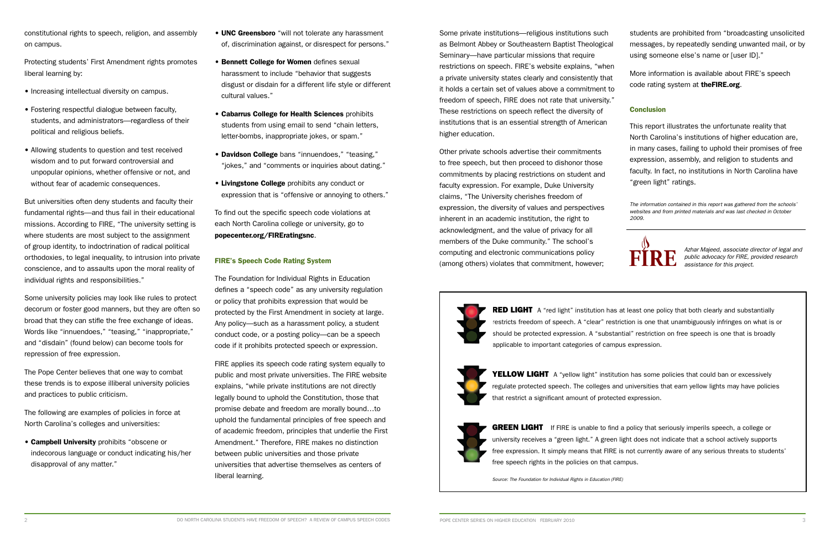constitutional rights to speech, religion, and assembly on campus.

Protecting students' First Amendment rights promotes liberal learning by:

- Increasing intellectual diversity on campus.
- Fostering respectful dialogue between faculty, students, and administrators—regardless of their political and religious beliefs.
- Allowing students to question and test received wisdom and to put forward controversial and unpopular opinions, whether offensive or not, and without fear of academic consequences.

But universities often deny students and faculty their fundamental rights—and thus fail in their educational missions. According to FIRE, "The university setting is where students are most subject to the assignment of group identity, to indoctrination of radical political orthodoxies, to legal inequality, to intrusion into private conscience, and to assaults upon the moral reality of individual rights and responsibilities."

- UNC Greensboro "will not tolerate any harassment of, discrimination against, or disrespect for persons."
- Bennett College for Women defines sexual harassment to include "behavior that suggests disgust or disdain for a different life style or different cultural values."
- Cabarrus College for Health Sciences prohibits students from using email to send "chain letters, letter-bombs, inappropriate jokes, or spam."
- Davidson College bans "innuendoes," "teasing," "jokes," and "comments or inquiries about dating."
- Livingstone College prohibits any conduct or expression that is "offensive or annoying to others."

Some university policies may look like rules to protect decorum or foster good manners, but they are often so broad that they can stifle the free exchange of ideas. Words like "innuendoes," "teasing," "inappropriate," and "disdain" (found below) can become tools for repression of free expression.

The Pope Center believes that one way to combat these trends is to expose illiberal university policies and practices to public criticism.

The following are examples of policies in force at North Carolina's colleges and universities:

• Campbell University prohibits "obscene or indecorous language or conduct indicating his/her disapproval of any matter."

To find out the specific speech code violations at each North Carolina college or university, go to popecenter.org/FIREratingsnc.

## FIRE's Speech Code Rating System

The Foundation for Individual Rights in Education defines a "speech code" as any university regulation or policy that prohibits expression that would be protected by the First Amendment in society at large. Any policy—such as a harassment policy, a student conduct code, or a posting policy—can be a speech code if it prohibits protected speech or expression.

**RED LIGHT** A "red light" institution has at least one policy that both clearly and substantially restricts freedom of speech. A "clear" restriction is one that unambiguously infringes on what is or should be protected expression. A "substantial" restriction on free speech is one that is broadly applicable to important categories of campus expression.



**YELLOW LIGHT** A "yellow light" institution has some policies that could ban or excessively regulate protected speech. The colleges and universities that earn yellow lights may have policies that restrict a significant amount of protected expression.



**GREEN LIGHT** If FIRE is unable to find a policy that seriously imperils speech, a college or university receives a "green light." A green light does not indicate that a school actively supports free expression. It simply means that FIRE is not currently aware of any serious threats to students' free speech rights in the policies on that campus.

FIRE applies its speech code rating system equally to public and most private universities. The FIRE website explains, "while private institutions are not directly legally bound to uphold the Constitution, those that promise debate and freedom are morally bound…to uphold the fundamental principles of free speech and of academic freedom, principles that underlie the First Amendment." Therefore, FIRE makes no distinction between public universities and those private universities that advertise themselves as centers of liberal learning.

Some private institutions—religious institutions such as Belmont Abbey or Southeastern Baptist Theological Seminary—have particular missions that require restrictions on speech. FIRE's website explains, "when a private university states clearly and consistently that it holds a certain set of values above a commitment to freedom of speech, FIRE does not rate that university." These restrictions on speech reflect the diversity of institutions that is an essential strength of American higher education. students are prohibited from "broadcasting unsolicited messages, by repeatedly sending unwanted mail, or by using someone else's name or [user ID]." More information is available about FIRE's speech code rating system at theFIRE.org. **Conclusion** This report illustrates the unfortunate reality that

Other private schools advertise their commitments to free speech, but then proceed to dishonor those commitments by placing restrictions on student and faculty expression. For example, Duke University claims, "The University cherishes freedom of expression, the diversity of values and perspectives inherent in an academic institution, the right to acknowledgment, and the value of privacy for all members of the Duke community." The school's computing and electronic communications policy (among others) violates that commitment, however;



North Carolina's institutions of higher education are, in many cases, failing to uphold their promises of free expression, assembly, and religion to students and faculty. In fact, no institutions in North Carolina have "green light" ratings.

*The information contained in this report was gathered from the schools' websites and from printed materials and was last checked in October 2009.*



*Source: The Foundation for Individual Rights in Education (FIRE)*

*Azhar Majeed, associate director of legal and public advocacy for FIRE, provided research assistance for this project.*